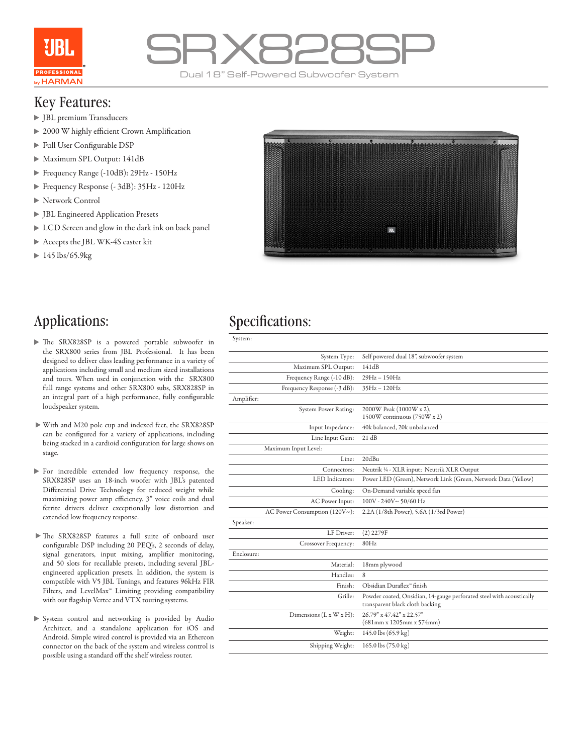



#### Key Features:

- JBL premium Transducers
- ▶ 2000 W highly efficient Crown Amplification
- Full User Configurable DSP
- Maximum SPL Output: 141dB
- Frequency Range (-10dB): 29Hz 150Hz
- Frequency Response (- 3dB): 35Hz 120Hz
- Network Control
- JBL Engineered Application Presets
- LCD Screen and glow in the dark ink on back panel
- Accepts the JBL WK-4S caster kit
- $\blacktriangleright$  145 lbs/65.9kg



- The SRX828SP is a powered portable subwoofer in the SRX800 series from JBL Professional. It has been designed to deliver class leading performance in a variety of applications including small and medium sized installations and tours. When used in conjunction with the SRX800 full range systems and other SRX800 subs, SRX828SP in an integral part of a high performance, fully configurable loudspeaker system.
- With and M20 pole cup and indexed feet, the SRX828SP can be configured for a variety of applications, including being stacked in a cardioid configuration for large shows on stage.
- $\blacktriangleright$  For incredible extended low frequency response, the SRX828SP uses an 18-inch woofer with JBL's patented Differential Drive Technology for reduced weight while maximizing power amp efficiency. 3" voice coils and dual ferrite drivers deliver exceptionally low distortion and extended low frequency response.
- The SRX828SP features a full suite of onboard user configurable DSP including 20 PEQ's, 2 seconds of delay, signal generators, input mixing, amplifier monitoring, and 50 slots for recallable presets, including several JBLengineered application presets. In addition, the system is compatible with V5 JBL Tunings, and features 96kHz FIR Filters, and LevelMax™ Limiting providing compatibility with our flagship Vertec and VTX touring systems.
- System control and networking is provided by Audio Architect, and a standalone application for iOS and Android. Simple wired control is provided via an Ethercon connector on the back of the system and wireless control is possible using a standard off the shelf wireless router.

### Applications: Specifications:

| System:                       |                                                                                                         |  |  |
|-------------------------------|---------------------------------------------------------------------------------------------------------|--|--|
| System Type:                  | Self powered dual 18", subwoofer system                                                                 |  |  |
| Maximum SPL Output:           | 141dB                                                                                                   |  |  |
| Frequency Range (-10 dB):     | 29Hz-150Hz                                                                                              |  |  |
| Frequency Response (-3 dB):   | $35Hz - 120Hz$                                                                                          |  |  |
| Amplifier:                    |                                                                                                         |  |  |
| System Power Rating:          | 2000W Peak (1000W x 2),<br>1500W continuous (750W x 2)                                                  |  |  |
| Input Impedance:              | 40k balanced, 20k unbalanced                                                                            |  |  |
| Line Input Gain:              | 21 dB                                                                                                   |  |  |
| Maximum Input Level:          |                                                                                                         |  |  |
| Line:                         | 20dBu                                                                                                   |  |  |
| Connectors:                   | Neutrik 1/4 - XLR input; Neutrik XLR Output                                                             |  |  |
| LED Indicators:               | Power LED (Green), Network Link (Green, Network Data (Yellow)                                           |  |  |
| Cooling:                      | On-Demand variable speed fan                                                                            |  |  |
| AC Power Input:               | $100V - 240V \sim 50/60 Hz$                                                                             |  |  |
| AC Power Consumption (120V~): | 2.2A (1/8th Power), 5.6A (1/3rd Power)                                                                  |  |  |
| Speaker:                      |                                                                                                         |  |  |
| LF Driver:                    | $(2)$ 2279F                                                                                             |  |  |
| Crossover Frequency:          | 80Hz                                                                                                    |  |  |
| Enclosure:                    |                                                                                                         |  |  |
| Material:                     | 18mm plywood                                                                                            |  |  |
| Handles:                      | 8                                                                                                       |  |  |
| Finish:                       | Obsidian Duraflex <sup>®</sup> finish                                                                   |  |  |
| Grille:                       | Powder coated, Onsidian, 14-gauge perforated steel with acoustically<br>transparent black cloth backing |  |  |
| Dimensions $(L x W x H)$ :    | 26.79" x 47.42" x 22.57"<br>$(681$ mm x 1205mm x 574mm)                                                 |  |  |
| Weight:                       | 145.0 lbs (65.9 kg)                                                                                     |  |  |
| Shipping Weight:              | 165.0 lbs (75.0 kg)                                                                                     |  |  |
|                               |                                                                                                         |  |  |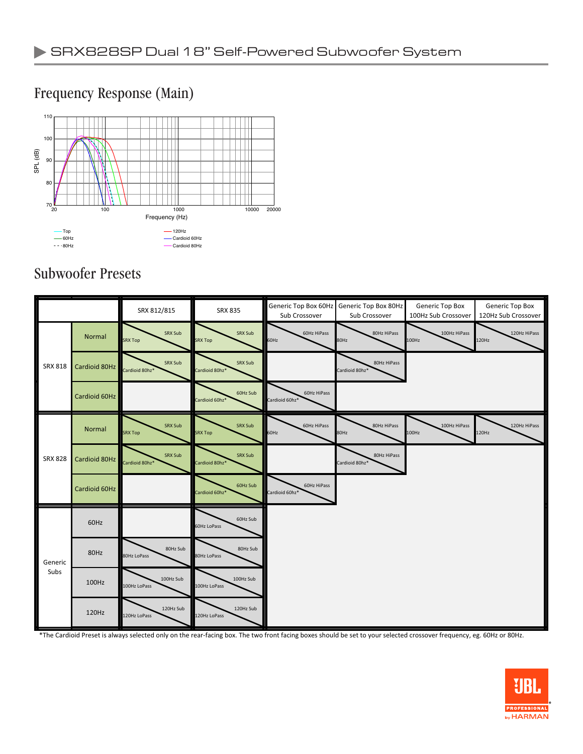#### 20 100 1000 10000 20000 Frequency (Hz)  $70\frac{1}{20}$ 80 90 100 110 SPL (dB) Top 60Hz 80Hz  $-120$ Hz Cardioid 60Hz Cardioid 80Hz

#### Frequency Response (Main)

## Subwoofer Presets

|                 |               | SRX 812/815               | <b>SRX 835</b>             | Generic Top Box 60Hz<br>Sub Crossover | Generic Top Box 80Hz<br>Sub Crossover | Generic Top Box<br>100Hz Sub Crossover | Generic Top Box<br>120Hz Sub Crossover |
|-----------------|---------------|---------------------------|----------------------------|---------------------------------------|---------------------------------------|----------------------------------------|----------------------------------------|
| <b>SRX 818</b>  | <b>Normal</b> | SRX Sub<br><b>SRX Top</b> | SRX Sub<br><b>SRX Top</b>  | 60Hz HiPass<br>60Hz                   | 80Hz HiPass<br>80Hz                   | 100Hz HiPass<br>100Hz                  | 120Hz HiPass<br>120Hz                  |
|                 | Cardioid 80Hz | SRX Sub<br>Cardioid 80hz* | SRX Sub<br>Cardioid 80hz*  |                                       | 80Hz HiPass<br>Cardioid 80hz*         |                                        |                                        |
|                 | Cardioid 60Hz |                           | 60Hz Sub<br>Cardioid 60hz* | 60Hz HiPass<br>Cardioid 60hz*         |                                       |                                        |                                        |
| <b>SRX 828</b>  | Normal        | SRX Sub<br><b>SRX Top</b> | SRX Sub<br>SRX Top         | 60Hz HiPass<br>60Hz                   | 80Hz HiPass<br>80Hz                   | 100Hz HiPass<br>100Hz                  | 120Hz HiPass<br>120Hz                  |
|                 | Cardioid 80Hz | SRX Sub<br>Cardioid 80hz* | SRX Sub<br>Cardioid 80hz*  |                                       | 80Hz HiPass<br>Cardioid 80hz*         |                                        |                                        |
|                 | Cardioid 60Hz |                           | 60Hz Sub<br>Cardioid 60hz* | 60Hz HiPass<br>Cardioid 60hz*         |                                       |                                        |                                        |
| Generic<br>Subs | 60Hz          |                           | 60Hz Sub<br>60Hz LoPass    |                                       |                                       |                                        |                                        |
|                 | 80Hz          | 80Hz Sub<br>80Hz LoPass   | 80Hz Sub<br>80Hz LoPass    |                                       |                                       |                                        |                                        |
|                 | 100Hz         | 100Hz Sub<br>100Hz LoPass | 100Hz Sub<br>100Hz LoPass  |                                       |                                       |                                        |                                        |
|                 | 120Hz         | 120Hz Sub<br>120Hz LoPass | 120Hz Sub<br>120Hz LoPass  |                                       |                                       |                                        |                                        |

\*The Cardioid Preset is always selected only on the rear-facing box. The two front facing boxes should be set to your selected crossover frequency, eg. 60Hz or 80Hz.

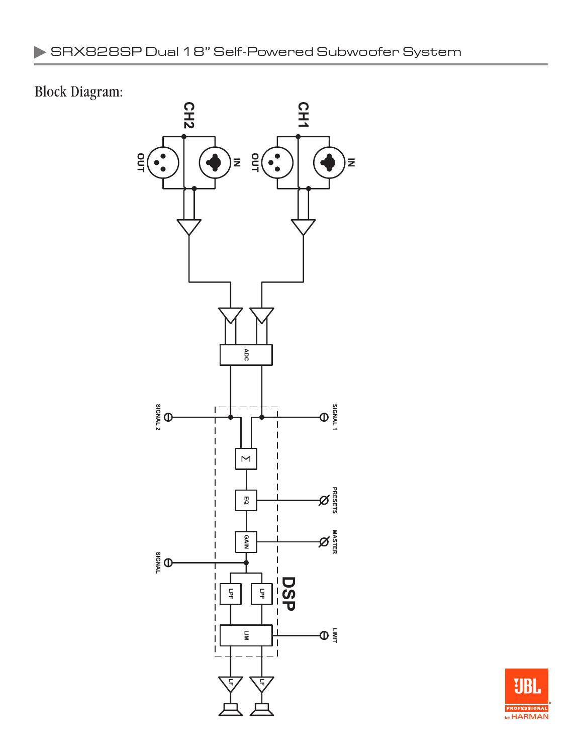# Block Diagram: